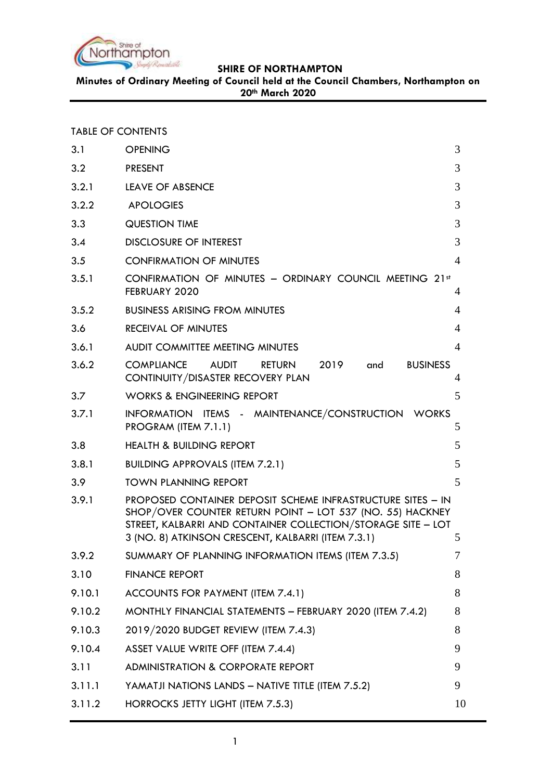

**Minutes of Ordinary Meeting of Council held at the Council Chambers, Northampton on 20th March 2020**

#### TABLE OF CONTENTS

| 3.1    | <b>OPENING</b>                                                                                                                                                                                                                                 | 3              |
|--------|------------------------------------------------------------------------------------------------------------------------------------------------------------------------------------------------------------------------------------------------|----------------|
| 3.2    | <b>PRESENT</b>                                                                                                                                                                                                                                 | 3              |
| 3.2.1  | <b>LEAVE OF ABSENCE</b>                                                                                                                                                                                                                        | 3              |
| 3.2.2  | <b>APOLOGIES</b>                                                                                                                                                                                                                               | 3              |
| 3.3    | <b>QUESTION TIME</b>                                                                                                                                                                                                                           | 3              |
| 3.4    | <b>DISCLOSURE OF INTEREST</b>                                                                                                                                                                                                                  | 3              |
| 3.5    | <b>CONFIRMATION OF MINUTES</b>                                                                                                                                                                                                                 | $\overline{4}$ |
| 3.5.1  | CONFIRMATION OF MINUTES - ORDINARY COUNCIL MEETING 21st<br>FEBRUARY 2020                                                                                                                                                                       | 4              |
| 3.5.2  | <b>BUSINESS ARISING FROM MINUTES</b>                                                                                                                                                                                                           | 4              |
| 3.6    | <b>RECEIVAL OF MINUTES</b>                                                                                                                                                                                                                     | $\overline{4}$ |
| 3.6.1  | <b>AUDIT COMMITTEE MEETING MINUTES</b>                                                                                                                                                                                                         | $\overline{A}$ |
| 3.6.2  | <b>COMPLIANCE</b><br><b>AUDIT</b><br>2019<br><b>BUSINESS</b><br><b>RETURN</b><br>and<br>CONTINUITY/DISASTER RECOVERY PLAN                                                                                                                      | 4              |
| 3.7    | <b>WORKS &amp; ENGINEERING REPORT</b>                                                                                                                                                                                                          | 5              |
| 3.7.1  | INFORMATION ITEMS - MAINTENANCE/CONSTRUCTION WORKS<br>PROGRAM (ITEM 7.1.1)                                                                                                                                                                     | 5              |
| 3.8    | <b>HEALTH &amp; BUILDING REPORT</b>                                                                                                                                                                                                            | 5              |
| 3.8.1  | <b>BUILDING APPROVALS (ITEM 7.2.1)</b>                                                                                                                                                                                                         | 5              |
| 3.9    | <b>TOWN PLANNING REPORT</b>                                                                                                                                                                                                                    | 5              |
| 3.9.1  | PROPOSED CONTAINER DEPOSIT SCHEME INFRASTRUCTURE SITES - IN<br>SHOP/OVER COUNTER RETURN POINT - LOT 537 (NO. 55) HACKNEY<br>STREET, KALBARRI AND CONTAINER COLLECTION/STORAGE SITE - LOT<br>3 (NO. 8) ATKINSON CRESCENT, KALBARRI (ITEM 7.3.1) | 5              |
| 3.9.2  | SUMMARY OF PLANNING INFORMATION ITEMS (ITEM 7.3.5)                                                                                                                                                                                             | 7              |
| 3.10   | <b>FINANCE REPORT</b>                                                                                                                                                                                                                          | 8              |
| 9.10.1 | ACCOUNTS FOR PAYMENT (ITEM 7.4.1)                                                                                                                                                                                                              | 8              |
| 9.10.2 | MONTHLY FINANCIAL STATEMENTS - FEBRUARY 2020 (ITEM 7.4.2)                                                                                                                                                                                      | 8              |
| 9.10.3 | 2019/2020 BUDGET REVIEW (ITEM 7.4.3)                                                                                                                                                                                                           | 8              |
| 9.10.4 | ASSET VALUE WRITE OFF (ITEM 7.4.4)                                                                                                                                                                                                             | 9              |
| 3.11   | <b>ADMINISTRATION &amp; CORPORATE REPORT</b>                                                                                                                                                                                                   | 9              |
| 3.11.1 | YAMATJI NATIONS LANDS - NATIVE TITLE (ITEM 7.5.2)                                                                                                                                                                                              | 9              |
| 3.11.2 | HORROCKS JETTY LIGHT (ITEM 7.5.3)                                                                                                                                                                                                              | 10             |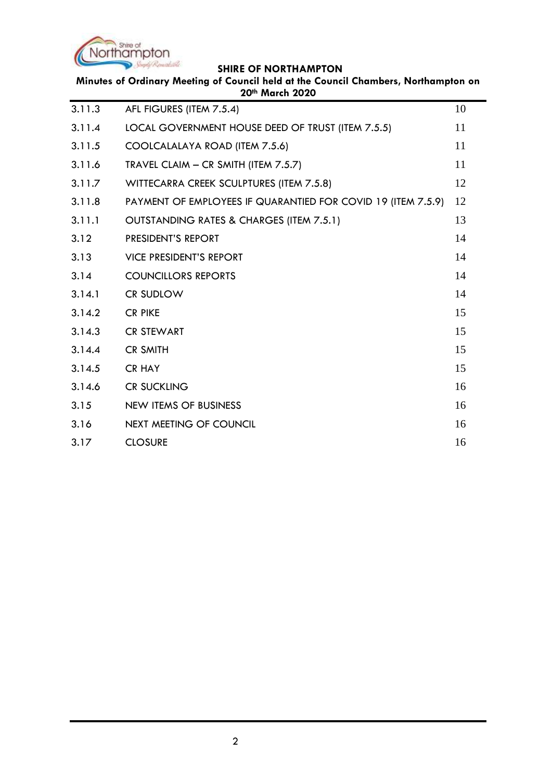

| Minutes of Ordinary Meeting of Council held at the Council Chambers, Northampton on<br>20th March 2020 |                                                              |    |  |
|--------------------------------------------------------------------------------------------------------|--------------------------------------------------------------|----|--|
| 3.11.3                                                                                                 | AFL FIGURES (ITEM 7.5.4)                                     | 10 |  |
| 3.11.4                                                                                                 | LOCAL GOVERNMENT HOUSE DEED OF TRUST (ITEM 7.5.5)            | 11 |  |
| 3.11.5                                                                                                 | COOLCALALAYA ROAD (ITEM 7.5.6)                               | 11 |  |
| 3.11.6                                                                                                 | TRAVEL CLAIM - CR SMITH (ITEM 7.5.7)                         | 11 |  |
| 3.11.7                                                                                                 | WITTECARRA CREEK SCULPTURES (ITEM 7.5.8)                     | 12 |  |
| 3.11.8                                                                                                 | PAYMENT OF EMPLOYEES IF QUARANTIED FOR COVID 19 (ITEM 7.5.9) | 12 |  |
| 3.11.1                                                                                                 | OUTSTANDING RATES & CHARGES (ITEM 7.5.1)                     | 13 |  |
| 3.12                                                                                                   | PRESIDENT'S REPORT                                           | 14 |  |
| 3.13                                                                                                   | <b>VICE PRESIDENT'S REPORT</b>                               | 14 |  |
| 3.14                                                                                                   | <b>COUNCILLORS REPORTS</b>                                   | 14 |  |
| 3.14.1                                                                                                 | CR SUDLOW                                                    | 14 |  |
| 3.14.2                                                                                                 | <b>CR PIKE</b>                                               | 15 |  |
| 3.14.3                                                                                                 | <b>CR STEWART</b>                                            | 15 |  |
| 3.14.4                                                                                                 | <b>CR SMITH</b>                                              | 15 |  |
| 3.14.5                                                                                                 | <b>CR HAY</b>                                                | 15 |  |
| 3.14.6                                                                                                 | <b>CR SUCKLING</b>                                           | 16 |  |
| 3.15                                                                                                   | <b>NEW ITEMS OF BUSINESS</b>                                 | 16 |  |
| 3.16                                                                                                   | NEXT MEETING OF COUNCIL                                      | 16 |  |
| 3.17                                                                                                   | <b>CLOSURE</b>                                               | 16 |  |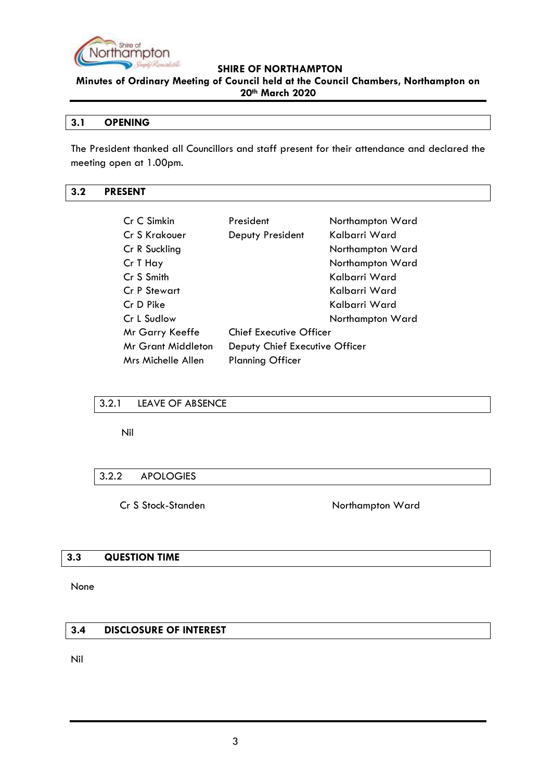

**Minutes of Ordinary Meeting of Council held at the Council Chambers, Northampton on 20th March 2020**

### <span id="page-2-0"></span>**3.1 OPENING**

The President thanked all Councillors and staff present for their attendance and declared the meeting open at 1.00pm.

### <span id="page-2-1"></span>**3.2 PRESENT**

| Cr C Simkin        | President                      | Northampton Ward |
|--------------------|--------------------------------|------------------|
| Cr S Krakouer      | Deputy President               | Kalbarri Ward    |
| Cr R Suckling      |                                | Northampton Ward |
| Cr T Hay           |                                | Northampton Ward |
| Cr S Smith         |                                | Kalbarri Ward    |
| Cr P Stewart       |                                | Kalbarri Ward    |
| Cr D Pike          |                                | Kalbarri Ward    |
| Cr L Sudlow        |                                | Northampton Ward |
| Mr Garry Keeffe    | <b>Chief Executive Officer</b> |                  |
| Mr Grant Middleton | Deputy Chief Executive Officer |                  |
| Mrs Michelle Allen | <b>Planning Officer</b>        |                  |

# <span id="page-2-2"></span>3.2.1 LEAVE OF ABSENCE

Nil

#### <span id="page-2-3"></span>3.2.2 APOLOGIES

Cr S Stock-Standen Northampton Ward

#### <span id="page-2-4"></span>**3.3 QUESTION TIME**

None

# <span id="page-2-5"></span>**3.4 DISCLOSURE OF INTEREST**

Nil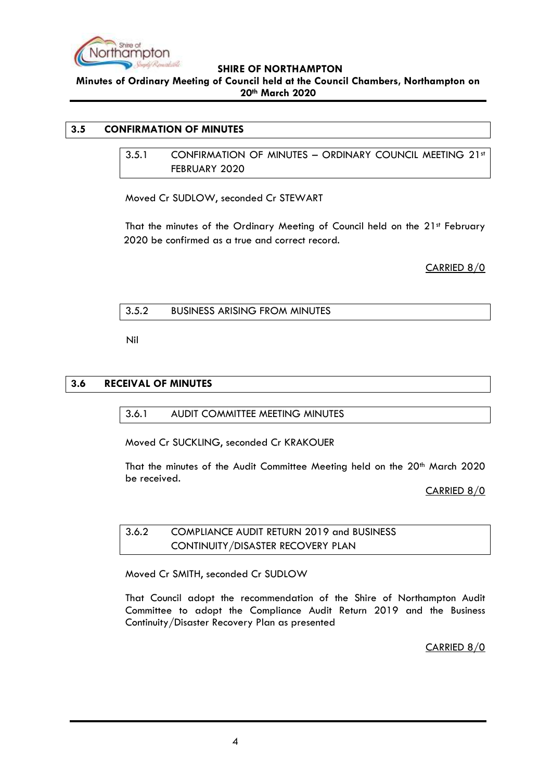

**Minutes of Ordinary Meeting of Council held at the Council Chambers, Northampton on 20th March 2020**

# <span id="page-3-1"></span><span id="page-3-0"></span>**3.5 CONFIRMATION OF MINUTES**

3.5.1 CONFIRMATION OF MINUTES - ORDINARY COUNCIL MEETING 21st FEBRUARY 2020

Moved Cr SUDLOW, seconded Cr STEWART

That the minutes of the Ordinary Meeting of Council held on the 21st February 2020 be confirmed as a true and correct record.

CARRIED 8/0

#### <span id="page-3-2"></span>3.5.2 BUSINESS ARISING FROM MINUTES

Nil

#### <span id="page-3-4"></span><span id="page-3-3"></span>**3.6 RECEIVAL OF MINUTES**

3.6.1 AUDIT COMMITTEE MEETING MINUTES

Moved Cr SUCKLING, seconded Cr KRAKOUER

That the minutes of the Audit Committee Meeting held on the 20th March 2020 be received.

CARRIED 8/0

<span id="page-3-5"></span>3.6.2 COMPLIANCE AUDIT RETURN 2019 and BUSINESS CONTINUITY/DISASTER RECOVERY PLAN

Moved Cr SMITH, seconded Cr SUDLOW

That Council adopt the recommendation of the Shire of Northampton Audit Committee to adopt the Compliance Audit Return 2019 and the Business Continuity/Disaster Recovery Plan as presented

CARRIED 8/0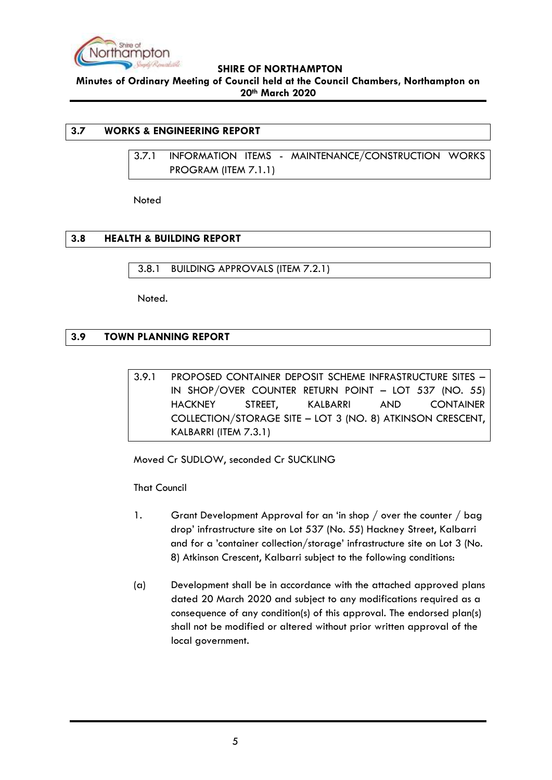

**Minutes of Ordinary Meeting of Council held at the Council Chambers, Northampton on 20th March 2020**

# <span id="page-4-1"></span><span id="page-4-0"></span>**3.7 WORKS & ENGINEERING REPORT**

3.7.1 INFORMATION ITEMS - MAINTENANCE/CONSTRUCTION WORKS PROGRAM (ITEM 7.1.1)

Noted

# <span id="page-4-2"></span>**3.8 HEALTH & BUILDING REPORT**

<span id="page-4-3"></span>3.8.1 BUILDING APPROVALS (ITEM 7.2.1)

Noted.

# <span id="page-4-5"></span><span id="page-4-4"></span>**3.9 TOWN PLANNING REPORT**

3.9.1 PROPOSED CONTAINER DEPOSIT SCHEME INFRASTRUCTURE SITES – IN SHOP/OVER COUNTER RETURN POINT – LOT 537 (NO. 55) HACKNEY STREET, KALBARRI AND CONTAINER COLLECTION/STORAGE SITE – LOT 3 (NO. 8) ATKINSON CRESCENT, KALBARRI (ITEM 7.3.1)

Moved Cr SUDLOW, seconded Cr SUCKLING

That Council

- 1. Grant Development Approval for an 'in shop / over the counter / bag drop' infrastructure site on Lot 537 (No. 55) Hackney Street, Kalbarri and for a 'container collection/storage' infrastructure site on Lot 3 (No. 8) Atkinson Crescent, Kalbarri subject to the following conditions:
- (a) Development shall be in accordance with the attached approved plans dated 20 March 2020 and subject to any modifications required as a consequence of any condition(s) of this approval. The endorsed plan(s) shall not be modified or altered without prior written approval of the local government.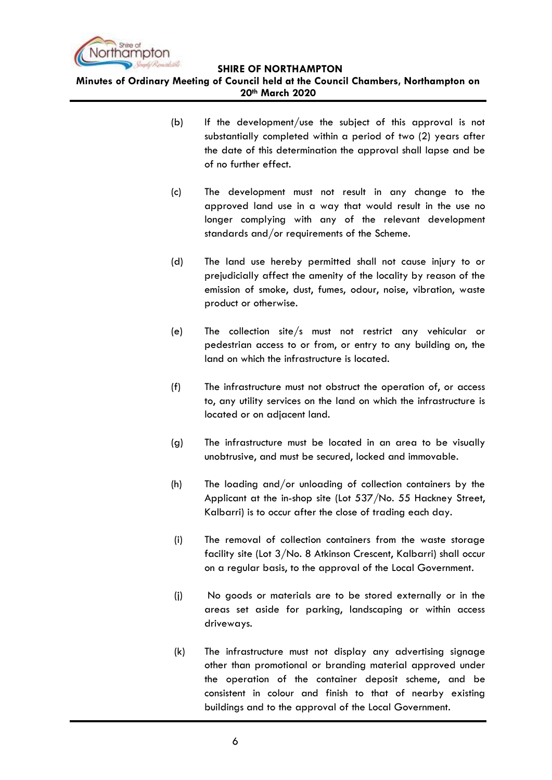

**Minutes of Ordinary Meeting of Council held at the Council Chambers, Northampton on 20th March 2020**

- (b) If the development/use the subject of this approval is not substantially completed within a period of two (2) years after the date of this determination the approval shall lapse and be of no further effect.
- (c) The development must not result in any change to the approved land use in a way that would result in the use no longer complying with any of the relevant development standards and/or requirements of the Scheme.
- (d) The land use hereby permitted shall not cause injury to or prejudicially affect the amenity of the locality by reason of the emission of smoke, dust, fumes, odour, noise, vibration, waste product or otherwise.
- (e) The collection site/s must not restrict any vehicular or pedestrian access to or from, or entry to any building on, the land on which the infrastructure is located.
- (f) The infrastructure must not obstruct the operation of, or access to, any utility services on the land on which the infrastructure is located or on adjacent land.
- (g) The infrastructure must be located in an area to be visually unobtrusive, and must be secured, locked and immovable.
- (h) The loading and/or unloading of collection containers by the Applicant at the in-shop site (Lot 537/No. 55 Hackney Street, Kalbarri) is to occur after the close of trading each day.
- (i) The removal of collection containers from the waste storage facility site (Lot 3/No. 8 Atkinson Crescent, Kalbarri) shall occur on a regular basis, to the approval of the Local Government.
- (j) No goods or materials are to be stored externally or in the areas set aside for parking, landscaping or within access driveways.
- (k) The infrastructure must not display any advertising signage other than promotional or branding material approved under the operation of the container deposit scheme, and be consistent in colour and finish to that of nearby existing buildings and to the approval of the Local Government.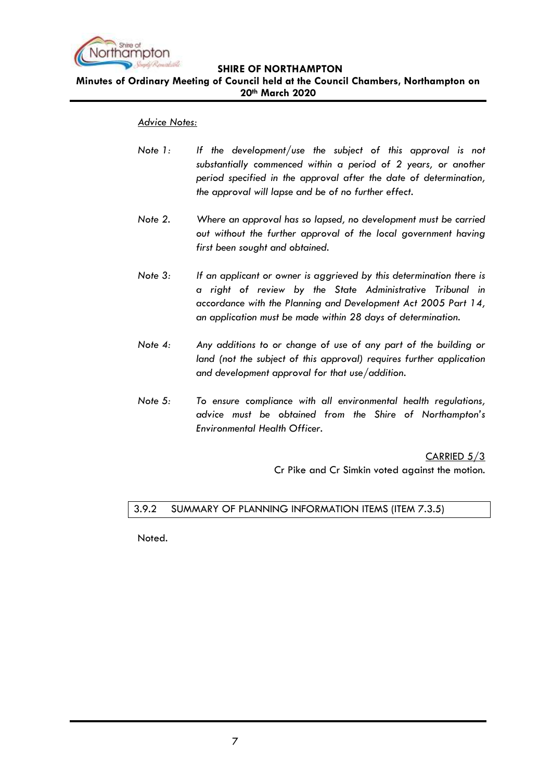

**Minutes of Ordinary Meeting of Council held at the Council Chambers, Northampton on 20th March 2020**

#### *Advice Notes:*

- *Note 1: If the development/use the subject of this approval is not substantially commenced within a period of 2 years, or another period specified in the approval after the date of determination, the approval will lapse and be of no further effect.*
- *Note 2. Where an approval has so lapsed, no development must be carried out without the further approval of the local government having first been sought and obtained.*
- *Note 3: If an applicant or owner is aggrieved by this determination there is a right of review by the State Administrative Tribunal in accordance with the Planning and Development Act 2005 Part 14, an application must be made within 28 days of determination.*
- *Note 4: Any additions to or change of use of any part of the building or land (not the subject of this approval) requires further application and development approval for that use/addition.*
- *Note 5: To ensure compliance with all environmental health regulations, advice must be obtained from the Shire of Northampton's Environmental Health Officer.*

CARRIED 5/3

Cr Pike and Cr Simkin voted against the motion.

#### <span id="page-6-0"></span>3.9.2 SUMMARY OF PLANNING INFORMATION ITEMS (ITEM 7.3.5)

Noted.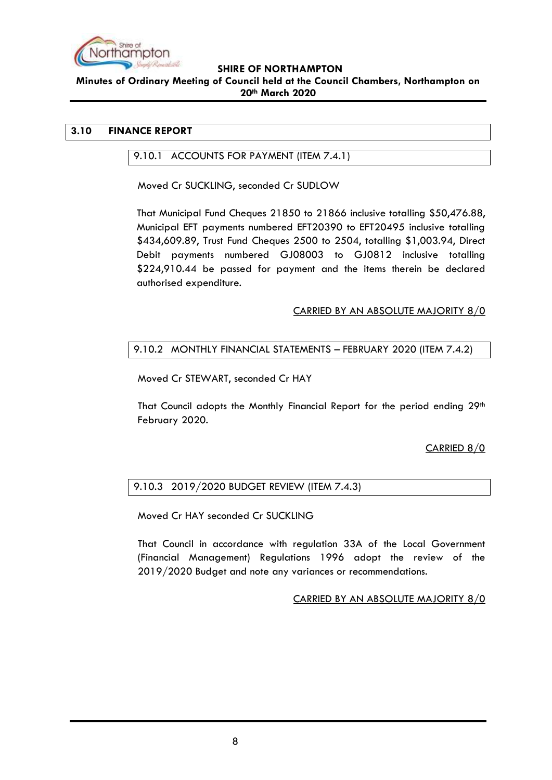

#### **Minutes of Ordinary Meeting of Council held at the Council Chambers, Northampton on 20th March 2020**

# <span id="page-7-1"></span><span id="page-7-0"></span>**3.10 FINANCE REPORT**

#### 9.10.1 ACCOUNTS FOR PAYMENT (ITEM 7.4.1)

Moved Cr SUCKLING, seconded Cr SUDLOW

That Municipal Fund Cheques 21850 to 21866 inclusive totalling \$50,476.88, Municipal EFT payments numbered EFT20390 to EFT20495 inclusive totalling \$434,609.89, Trust Fund Cheques 2500 to 2504, totalling \$1,003.94, Direct Debit payments numbered GJ08003 to GJ0812 inclusive totalling \$224,910.44 be passed for payment and the items therein be declared authorised expenditure.

# CARRIED BY AN ABSOLUTE MAJORITY 8/0

# <span id="page-7-2"></span>9.10.2 MONTHLY FINANCIAL STATEMENTS – FEBRUARY 2020 (ITEM 7.4.2)

Moved Cr STEWART, seconded Cr HAY

That Council adopts the Monthly Financial Report for the period ending  $29<sup>th</sup>$ February 2020.

# CARRIED 8/0

# <span id="page-7-3"></span>9.10.3 2019/2020 BUDGET REVIEW (ITEM 7.4.3)

Moved Cr HAY seconded Cr SUCKLING

That Council in accordance with regulation 33A of the Local Government (Financial Management) Regulations 1996 adopt the review of the 2019/2020 Budget and note any variances or recommendations.

CARRIED BY AN ABSOLUTE MAJORITY 8/0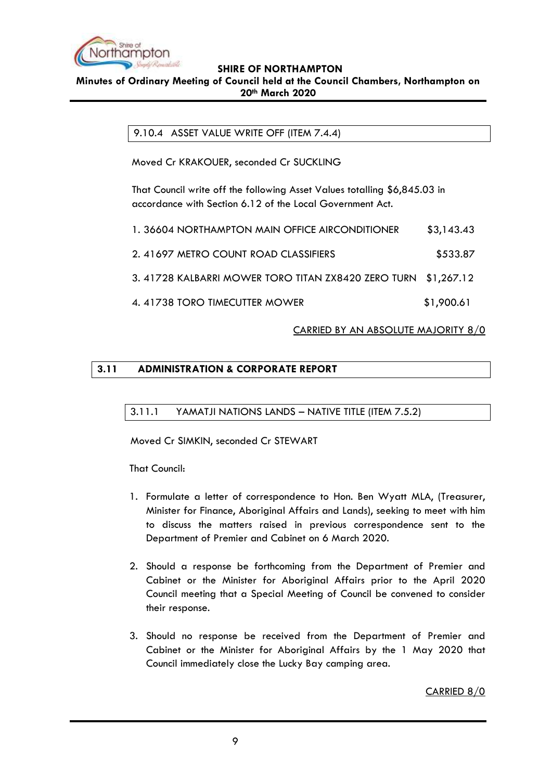

### <span id="page-8-0"></span>**Minutes of Ordinary Meeting of Council held at the Council Chambers, Northampton on 20th March 2020**

9.10.4 ASSET VALUE WRITE OFF (ITEM 7.4.4)

Moved Cr KRAKOUER, seconded Cr SUCKLING

That Council write off the following Asset Values totalling \$6,845.03 in accordance with Section 6.12 of the Local Government Act.

| 1. 36604 NORTHAMPTON MAIN OFFICE AIRCONDITIONER                | \$3,143.43 |
|----------------------------------------------------------------|------------|
| 2. 41697 METRO COUNT ROAD CLASSIFIERS                          | \$533.87   |
| 3. 41728 KALBARRI MOWER TORO TITAN ZX8420 ZERO TURN \$1,267.12 |            |
| 4.41738 TORO TIMECUTTER MOWER                                  | \$1,900.61 |

# CARRIED BY AN ABSOLUTE MAJORITY 8/0

# <span id="page-8-2"></span><span id="page-8-1"></span>**3.11 ADMINISTRATION & CORPORATE REPORT**

# 3.11.1 YAMATJI NATIONS LANDS – NATIVE TITLE (ITEM 7.5.2)

Moved Cr SIMKIN, seconded Cr STEWART

That Council:

- 1. Formulate a letter of correspondence to Hon. Ben Wyatt MLA, (Treasurer, Minister for Finance, Aboriginal Affairs and Lands), seeking to meet with him to discuss the matters raised in previous correspondence sent to the Department of Premier and Cabinet on 6 March 2020.
- 2. Should a response be forthcoming from the Department of Premier and Cabinet or the Minister for Aboriginal Affairs prior to the April 2020 Council meeting that a Special Meeting of Council be convened to consider their response.
- 3. Should no response be received from the Department of Premier and Cabinet or the Minister for Aboriginal Affairs by the 1 May 2020 that Council immediately close the Lucky Bay camping area.

CARRIED 8/0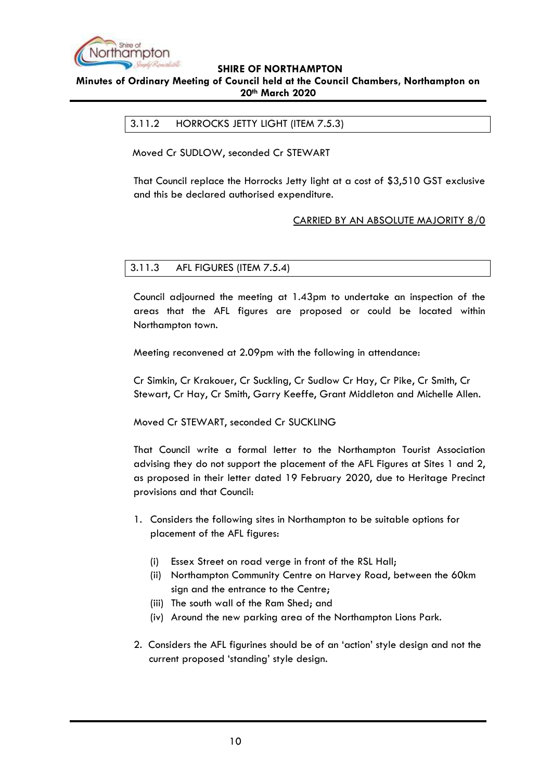

# <span id="page-9-0"></span>**Minutes of Ordinary Meeting of Council held at the Council Chambers, Northampton on 20th March 2020**

#### 3.11.2 HORROCKS JETTY LIGHT (ITEM 7.5.3)

Moved Cr SUDLOW, seconded Cr STEWART

That Council replace the Horrocks Jetty light at a cost of \$3,510 GST exclusive and this be declared authorised expenditure.

# CARRIED BY AN ABSOLUTE MAJORITY 8/0

#### <span id="page-9-1"></span>3.11.3 AFL FIGURES (ITEM 7.5.4)

Council adjourned the meeting at 1.43pm to undertake an inspection of the areas that the AFL figures are proposed or could be located within Northampton town.

Meeting reconvened at 2.09pm with the following in attendance:

Cr Simkin, Cr Krakouer, Cr Suckling, Cr Sudlow Cr Hay, Cr Pike, Cr Smith, Cr Stewart, Cr Hay, Cr Smith, Garry Keeffe, Grant Middleton and Michelle Allen.

Moved Cr STEWART, seconded Cr SUCKLING

That Council write a formal letter to the Northampton Tourist Association advising they do not support the placement of the AFL Figures at Sites 1 and 2, as proposed in their letter dated 19 February 2020, due to Heritage Precinct provisions and that Council:

- 1. Considers the following sites in Northampton to be suitable options for placement of the AFL figures:
	- (i) Essex Street on road verge in front of the RSL Hall;
	- (ii) Northampton Community Centre on Harvey Road, between the 60km sign and the entrance to the Centre;
	- (iii) The south wall of the Ram Shed; and
	- (iv) Around the new parking area of the Northampton Lions Park.
- 2. Considers the AFL figurines should be of an 'action' style design and not the current proposed 'standing' style design.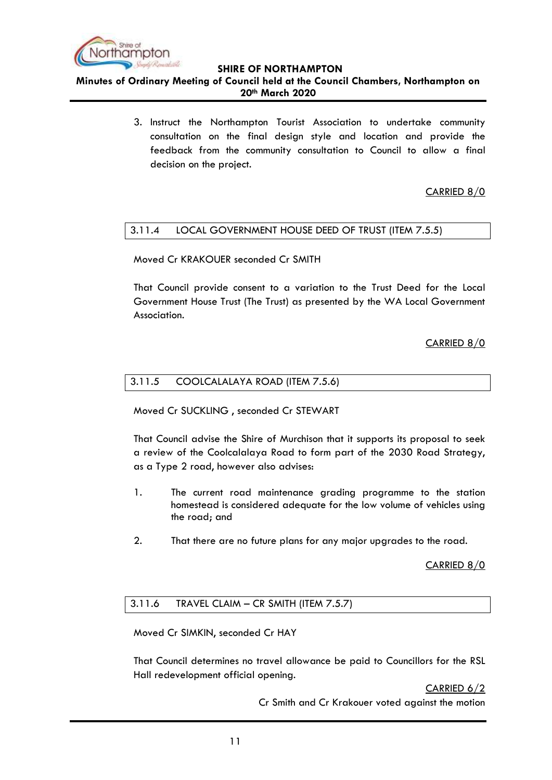

**Minutes of Ordinary Meeting of Council held at the Council Chambers, Northampton on 20th March 2020**

> 3. Instruct the Northampton Tourist Association to undertake community consultation on the final design style and location and provide the feedback from the community consultation to Council to allow a final decision on the project.

# CARRIED 8/0

# <span id="page-10-0"></span>3.11.4 LOCAL GOVERNMENT HOUSE DEED OF TRUST (ITEM 7.5.5)

Moved Cr KRAKOUER seconded Cr SMITH

That Council provide consent to a variation to the Trust Deed for the Local Government House Trust (The Trust) as presented by the WA Local Government Association.

# CARRIED 8/0

#### <span id="page-10-1"></span>3.11.5 COOLCALALAYA ROAD (ITEM 7.5.6)

Moved Cr SUCKLING , seconded Cr STEWART

That Council advise the Shire of Murchison that it supports its proposal to seek a review of the Coolcalalaya Road to form part of the 2030 Road Strategy, as a Type 2 road, however also advises:

- 1. The current road maintenance grading programme to the station homestead is considered adequate for the low volume of vehicles using the road; and
- 2. That there are no future plans for any major upgrades to the road.

CARRIED 8/0

# <span id="page-10-2"></span>3.11.6 TRAVEL CLAIM – CR SMITH (ITEM 7.5.7)

Moved Cr SIMKIN, seconded Cr HAY

That Council determines no travel allowance be paid to Councillors for the RSL Hall redevelopment official opening.

CARRIED 6/2

Cr Smith and Cr Krakouer voted against the motion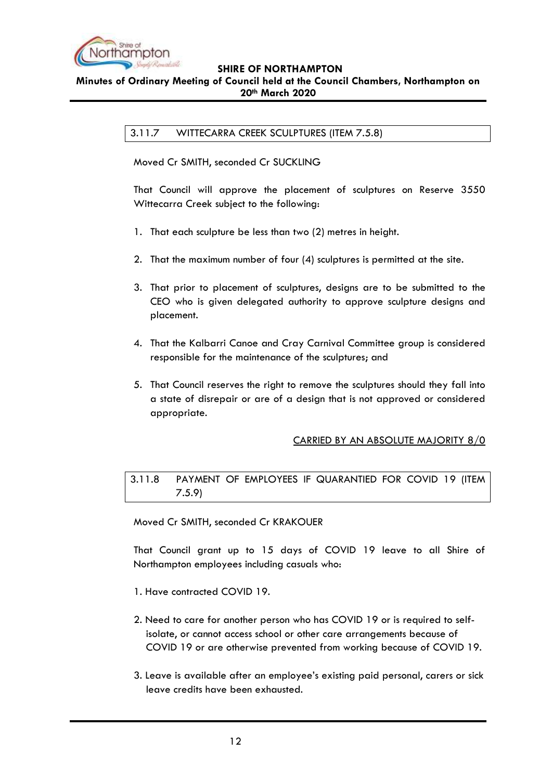

# <span id="page-11-0"></span>**Minutes of Ordinary Meeting of Council held at the Council Chambers, Northampton on 20th March 2020**

3.11.7 WITTECARRA CREEK SCULPTURES (ITEM 7.5.8)

Moved Cr SMITH, seconded Cr SUCKLING

That Council will approve the placement of sculptures on Reserve 3550 Wittecarra Creek subject to the following:

- 1. That each sculpture be less than two (2) metres in height.
- 2. That the maximum number of four (4) sculptures is permitted at the site.
- 3. That prior to placement of sculptures, designs are to be submitted to the CEO who is given delegated authority to approve sculpture designs and placement.
- 4. That the Kalbarri Canoe and Cray Carnival Committee group is considered responsible for the maintenance of the sculptures; and
- 5. That Council reserves the right to remove the sculptures should they fall into a state of disrepair or are of a design that is not approved or considered appropriate.

# CARRIED BY AN ABSOLUTE MAJORITY 8/0

<span id="page-11-1"></span>3.11.8 PAYMENT OF EMPLOYEES IF QUARANTIED FOR COVID 19 (ITEM 7.5.9)

Moved Cr SMITH, seconded Cr KRAKOUER

That Council grant up to 15 days of COVID 19 leave to all Shire of Northampton employees including casuals who:

- 1. Have contracted COVID 19.
- 2. Need to care for another person who has COVID 19 or is required to self isolate, or cannot access school or other care arrangements because of COVID 19 or are otherwise prevented from working because of COVID 19.
- 3. Leave is available after an employee's existing paid personal, carers or sick leave credits have been exhausted.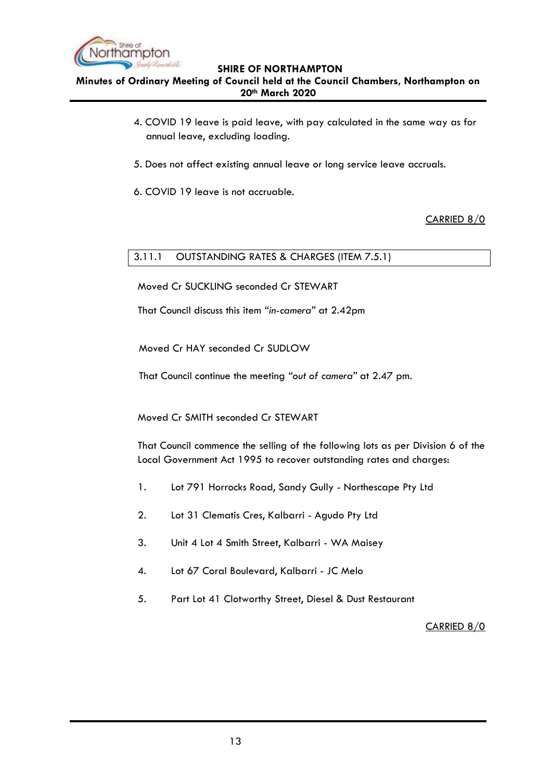

**Minutes of Ordinary Meeting of Council held at the Council Chambers, Northampton on 20th March 2020**

- 4. COVID 19 leave is paid leave, with pay calculated in the same way as for annual leave, excluding loading.
- 5. Does not affect existing annual leave or long service leave accruals.
- 6. COVID 19 leave is not accruable.

CARRIED 8/0

# <span id="page-12-0"></span>3.11.1 OUTSTANDING RATES & CHARGES (ITEM 7.5.1)

Moved Cr SUCKLING seconded Cr STEWART

That Council discuss this item *"in-camera"* at 2.42pm

Moved Cr HAY seconded Cr SUDLOW

That Council continue the meeting *"out of camera"* at 2.47 pm*.*

Moved Cr SMITH seconded Cr STEWART

That Council commence the selling of the following lots as per Division 6 of the Local Government Act 1995 to recover outstanding rates and charges:

- 1. Lot 791 Horrocks Road, Sandy Gully Northescape Pty Ltd
- 2. Lot 31 Clematis Cres, Kalbarri Agudo Pty Ltd
- 3. Unit 4 Lot 4 Smith Street, Kalbarri WA Maisey
- 4. Lot 67 Coral Boulevard, Kalbarri JC Melo
- 5. Part Lot 41 Clotworthy Street, Diesel & Dust Restaurant

# CARRIED 8/0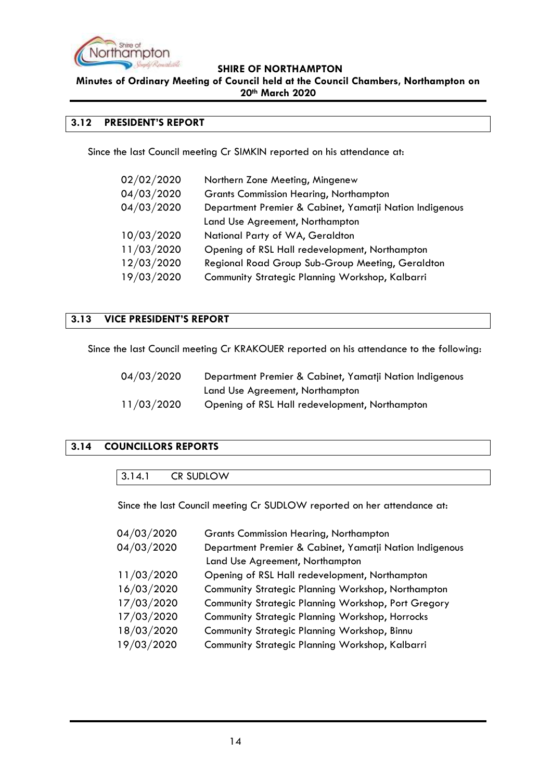

**Minutes of Ordinary Meeting of Council held at the Council Chambers, Northampton on 20th March 2020**

### <span id="page-13-0"></span>**3.12 PRESIDENT'S REPORT**

Since the last Council meeting Cr SIMKIN reported on his attendance at:

| 02/02/2020 | Northern Zone Meeting, Mingenew                         |
|------------|---------------------------------------------------------|
| 04/03/2020 | <b>Grants Commission Hearing, Northampton</b>           |
| 04/03/2020 | Department Premier & Cabinet, Yamatji Nation Indigenous |
|            | Land Use Agreement, Northampton                         |
| 10/03/2020 | National Party of WA, Geraldton                         |
| 11/03/2020 | Opening of RSL Hall redevelopment, Northampton          |
| 12/03/2020 | Regional Road Group Sub-Group Meeting, Geraldton        |
| 19/03/2020 | Community Strategic Planning Workshop, Kalbarri         |

# <span id="page-13-1"></span>**3.13 VICE PRESIDENT'S REPORT**

Since the last Council meeting Cr KRAKOUER reported on his attendance to the following:

| 04/03/2020 | Department Premier & Cabinet, Yamatji Nation Indigenous |
|------------|---------------------------------------------------------|
|            | Land Use Agreement, Northampton                         |
| 11/03/2020 | Opening of RSL Hall redevelopment, Northampton          |

# <span id="page-13-3"></span><span id="page-13-2"></span>**3.14 COUNCILLORS REPORTS**

| 3.14.1 | CR SUDLOW |  |  |  |  |
|--------|-----------|--|--|--|--|
|--------|-----------|--|--|--|--|

Since the last Council meeting Cr SUDLOW reported on her attendance at:

| 04/03/2020 | <b>Grants Commission Hearing, Northampton</b>           |
|------------|---------------------------------------------------------|
| 04/03/2020 | Department Premier & Cabinet, Yamatji Nation Indigenous |
|            | Land Use Agreement, Northampton                         |
| 11/03/2020 | Opening of RSL Hall redevelopment, Northampton          |
| 16/03/2020 | Community Strategic Planning Workshop, Northampton      |
| 17/03/2020 | Community Strategic Planning Workshop, Port Gregory     |
| 17/03/2020 | Community Strategic Planning Workshop, Horrocks         |
| 18/03/2020 | Community Strategic Planning Workshop, Binnu            |
| 19/03/2020 | Community Strategic Planning Workshop, Kalbarri         |
|            |                                                         |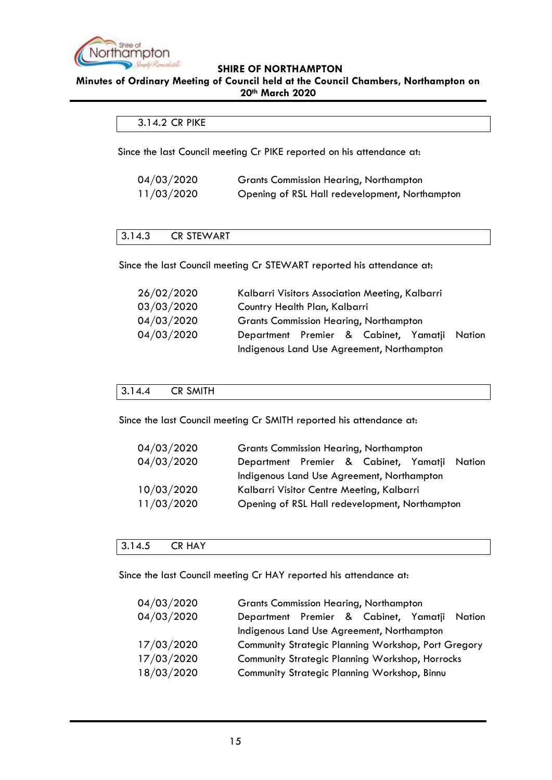

#### **Minutes of Ordinary Meeting of Council held at the Council Chambers, Northampton on 20th March 2020**

#### <span id="page-14-0"></span>3.14.2 CR PIKE

Since the last Council meeting Cr PIKE reported on his attendance at:

| 04/03/2020 | <b>Grants Commission Hearing, Northampton</b>  |
|------------|------------------------------------------------|
| 11/03/2020 | Opening of RSL Hall redevelopment, Northampton |

#### <span id="page-14-1"></span>3.14.3 CR STEWART

Since the last Council meeting Cr STEWART reported his attendance at:

| 26/02/2020 | Kalbarri Visitors Association Meeting, Kalbarri |  |  |  |
|------------|-------------------------------------------------|--|--|--|
| 03/03/2020 | Country Health Plan, Kalbarri                   |  |  |  |
| 04/03/2020 | <b>Grants Commission Hearing, Northampton</b>   |  |  |  |
| 04/03/2020 | Department Premier & Cabinet, Yamatji Nation    |  |  |  |
|            | Indigenous Land Use Agreement, Northampton      |  |  |  |

### <span id="page-14-2"></span>3.14.4 CR SMITH

Since the last Council meeting Cr SMITH reported his attendance at:

| 04/03/2020 | <b>Grants Commission Hearing, Northampton</b>  |
|------------|------------------------------------------------|
| 04/03/2020 | Department Premier & Cabinet, Yamatji Nation   |
|            | Indigenous Land Use Agreement, Northampton     |
| 10/03/2020 | Kalbarri Visitor Centre Meeting, Kalbarri      |
| 11/03/2020 | Opening of RSL Hall redevelopment, Northampton |

#### <span id="page-14-3"></span>3.14.5 CR HAY

Since the last Council meeting Cr HAY reported his attendance at:

| 04/03/2020 | <b>Grants Commission Hearing, Northampton</b>       |
|------------|-----------------------------------------------------|
| 04/03/2020 | Department Premier & Cabinet, Yamatji Nation        |
|            | Indigenous Land Use Agreement, Northampton          |
| 17/03/2020 | Community Strategic Planning Workshop, Port Gregory |
| 17/03/2020 | Community Strategic Planning Workshop, Horrocks     |
| 18/03/2020 | Community Strategic Planning Workshop, Binnu        |